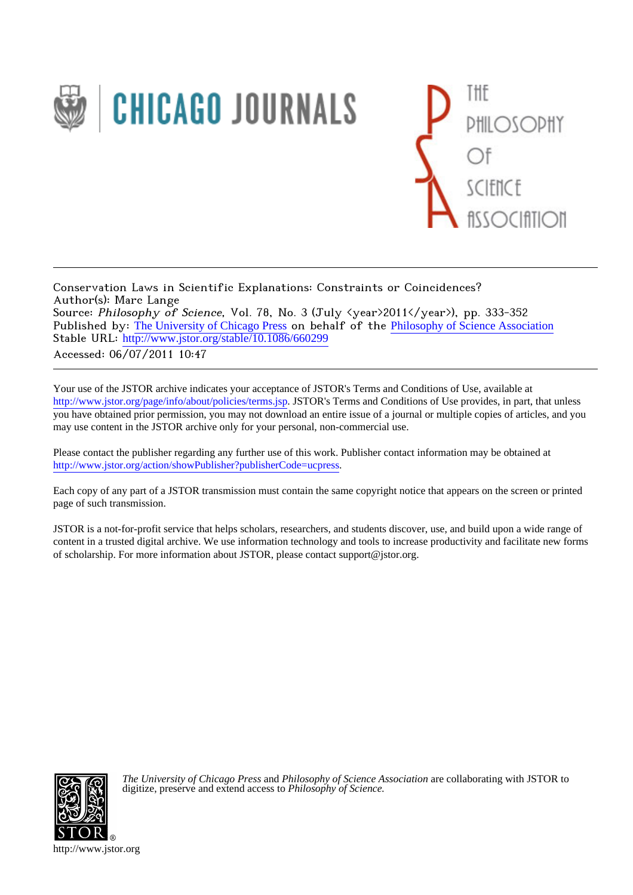



Conservation Laws in Scientific Explanations: Constraints or Coincidences? Author(s): Marc Lange Source: Philosophy of Science, Vol. 78, No. 3 (July  $\langle year \rangle$ 2011 $\langle year \rangle$ ), pp. 333-352 Published by: [The University of Chicago Press](http://www.jstor.org/action/showPublisher?publisherCode=ucpress) on behalf of the [Philosophy of Science Association](http://www.jstor.org/action/showPublisher?publisherCode=psa) Stable URL: http://www.jstor.org/stable/10.1086/660299 Accessed: 06/07/2011 10:47

Your use of the JSTOR archive indicates your acceptance of JSTOR's Terms and Conditions of Use, available at <http://www.jstor.org/page/info/about/policies/terms.jsp>. JSTOR's Terms and Conditions of Use provides, in part, that unless you have obtained prior permission, you may not download an entire issue of a journal or multiple copies of articles, and you may use content in the JSTOR archive only for your personal, non-commercial use.

Please contact the publisher regarding any further use of this work. Publisher contact information may be obtained at [http://www.jstor.org/action/showPublisher?publisherCode=ucpress.](http://www.jstor.org/action/showPublisher?publisherCode=ucpress) .

Each copy of any part of a JSTOR transmission must contain the same copyright notice that appears on the screen or printed page of such transmission.

JSTOR is a not-for-profit service that helps scholars, researchers, and students discover, use, and build upon a wide range of content in a trusted digital archive. We use information technology and tools to increase productivity and facilitate new forms of scholarship. For more information about JSTOR, please contact support@jstor.org.



*The University of Chicago Press* and *Philosophy of Science Association* are collaborating with JSTOR to digitize, preserve and extend access to *Philosophy of Science.*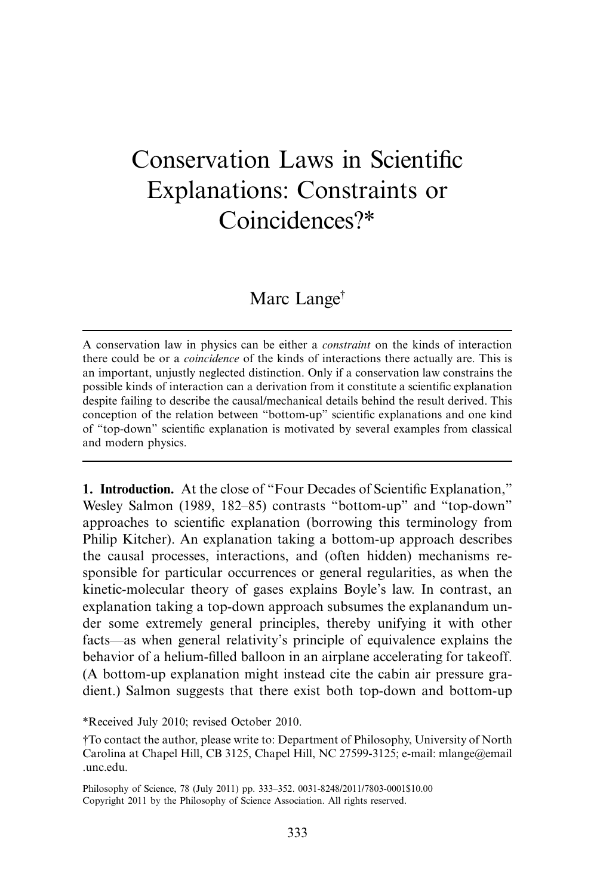# Conservation Laws in Scientific Explanations: Constraints or Coincidences?\*

## Marc Lange†

A conservation law in physics can be either a *constraint* on the kinds of interaction there could be or a *coincidence* of the kinds of interactions there actually are. This is an important, unjustly neglected distinction. Only if a conservation law constrains the possible kinds of interaction can a derivation from it constitute a scientific explanation despite failing to describe the causal/mechanical details behind the result derived. This conception of the relation between "bottom-up" scientific explanations and one kind of "top-down" scientific explanation is motivated by several examples from classical and modern physics.

**1. Introduction.** At the close of "Four Decades of Scientific Explanation," Wesley Salmon (1989, 182–85) contrasts "bottom-up" and "top-down" approaches to scientific explanation (borrowing this terminology from Philip Kitcher). An explanation taking a bottom-up approach describes the causal processes, interactions, and (often hidden) mechanisms responsible for particular occurrences or general regularities, as when the kinetic-molecular theory of gases explains Boyle's law. In contrast, an explanation taking a top-down approach subsumes the explanandum under some extremely general principles, thereby unifying it with other facts—as when general relativity's principle of equivalence explains the behavior of a helium-filled balloon in an airplane accelerating for takeoff. (A bottom-up explanation might instead cite the cabin air pressure gradient.) Salmon suggests that there exist both top-down and bottom-up

\*Received July 2010; revised October 2010.

†To contact the author, please write to: Department of Philosophy, University of North Carolina at Chapel Hill, CB 3125, Chapel Hill, NC 27599-3125; e-mail[: mlange@email](mailto:mlange@email.unc.edu) [.unc.edu.](mailto:mlange@email.unc.edu)

Philosophy of Science, 78 (July 2011) pp. 333–352. 0031-8248/2011/7803-0001\$10.00 Copyright 2011 by the Philosophy of Science Association. All rights reserved.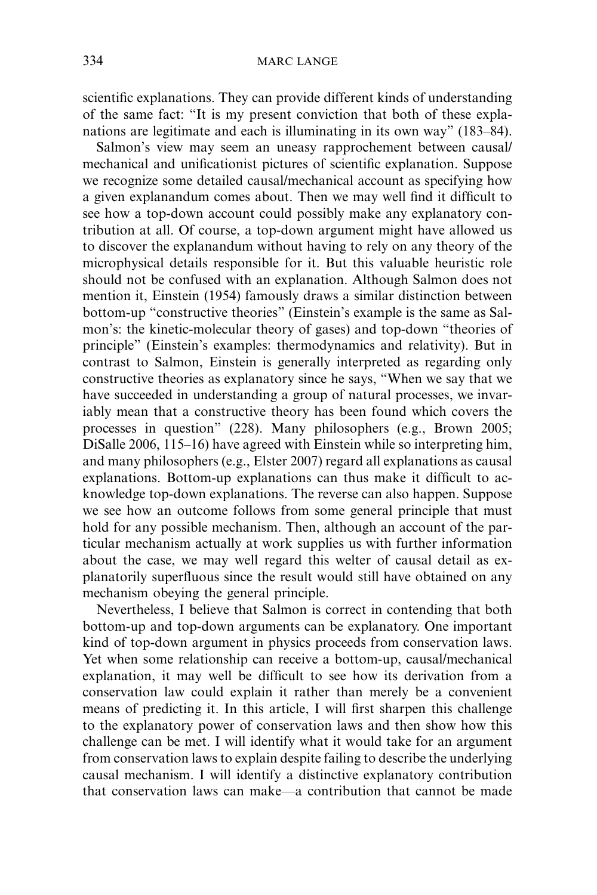scientific explanations. They can provide different kinds of understanding of the same fact: "It is my present conviction that both of these explanations are legitimate and each is illuminating in its own way" (183–84).

Salmon's view may seem an uneasy rapprochement between causal/ mechanical and unificationist pictures of scientific explanation. Suppose we recognize some detailed causal/mechanical account as specifying how a given explanandum comes about. Then we may well find it difficult to see how a top-down account could possibly make any explanatory contribution at all. Of course, a top-down argument might have allowed us to discover the explanandum without having to rely on any theory of the microphysical details responsible for it. But this valuable heuristic role should not be confused with an explanation. Although Salmon does not mention it, Einstein (1954) famously draws a similar distinction between bottom-up "constructive theories" (Einstein's example is the same as Salmon's: the kinetic-molecular theory of gases) and top-down "theories of principle" (Einstein's examples: thermodynamics and relativity). But in contrast to Salmon, Einstein is generally interpreted as regarding only constructive theories as explanatory since he says, "When we say that we have succeeded in understanding a group of natural processes, we invariably mean that a constructive theory has been found which covers the processes in question" (228). Many philosophers (e.g., Brown 2005; DiSalle 2006, 115–16) have agreed with Einstein while so interpreting him, and many philosophers (e.g., Elster 2007) regard all explanations as causal explanations. Bottom-up explanations can thus make it difficult to acknowledge top-down explanations. The reverse can also happen. Suppose we see how an outcome follows from some general principle that must hold for any possible mechanism. Then, although an account of the particular mechanism actually at work supplies us with further information about the case, we may well regard this welter of causal detail as explanatorily superfluous since the result would still have obtained on any mechanism obeying the general principle.

Nevertheless, I believe that Salmon is correct in contending that both bottom-up and top-down arguments can be explanatory. One important kind of top-down argument in physics proceeds from conservation laws. Yet when some relationship can receive a bottom-up, causal/mechanical explanation, it may well be difficult to see how its derivation from a conservation law could explain it rather than merely be a convenient means of predicting it. In this article, I will first sharpen this challenge to the explanatory power of conservation laws and then show how this challenge can be met. I will identify what it would take for an argument from conservation laws to explain despite failing to describe the underlying causal mechanism. I will identify a distinctive explanatory contribution that conservation laws can make—a contribution that cannot be made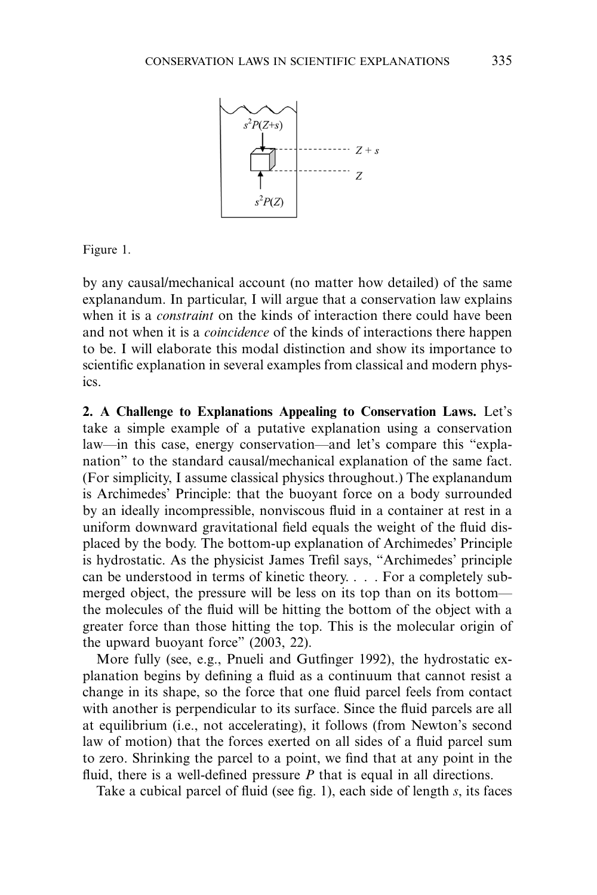

Figure 1.

by any causal/mechanical account (no matter how detailed) of the same explanandum. In particular, I will argue that a conservation law explains when it is a *constraint* on the kinds of interaction there could have been and not when it is a *coincidence* of the kinds of interactions there happen to be. I will elaborate this modal distinction and show its importance to scientific explanation in several examples from classical and modern physics.

**2. A Challenge to Explanations Appealing to Conservation Laws.** Let's take a simple example of a putative explanation using a conservation law—in this case, energy conservation—and let's compare this "explanation" to the standard causal/mechanical explanation of the same fact. (For simplicity, I assume classical physics throughout.) The explanandum is Archimedes' Principle: that the buoyant force on a body surrounded by an ideally incompressible, nonviscous fluid in a container at rest in a uniform downward gravitational field equals the weight of the fluid displaced by the body. The bottom-up explanation of Archimedes' Principle is hydrostatic. As the physicist James Trefil says, "Archimedes' principle can be understood in terms of kinetic theory. . . . For a completely submerged object, the pressure will be less on its top than on its bottom the molecules of the fluid will be hitting the bottom of the object with a greater force than those hitting the top. This is the molecular origin of the upward buoyant force" (2003, 22).

More fully (see, e.g., Pnueli and Gutfinger 1992), the hydrostatic explanation begins by defining a fluid as a continuum that cannot resist a change in its shape, so the force that one fluid parcel feels from contact with another is perpendicular to its surface. Since the fluid parcels are all at equilibrium (i.e., not accelerating), it follows (from Newton's second law of motion) that the forces exerted on all sides of a fluid parcel sum to zero. Shrinking the parcel to a point, we find that at any point in the fluid, there is a well-defined pressure *P* that is equal in all directions.

Take a cubical parcel of fluid (see fig. 1), each side of length *s*, its faces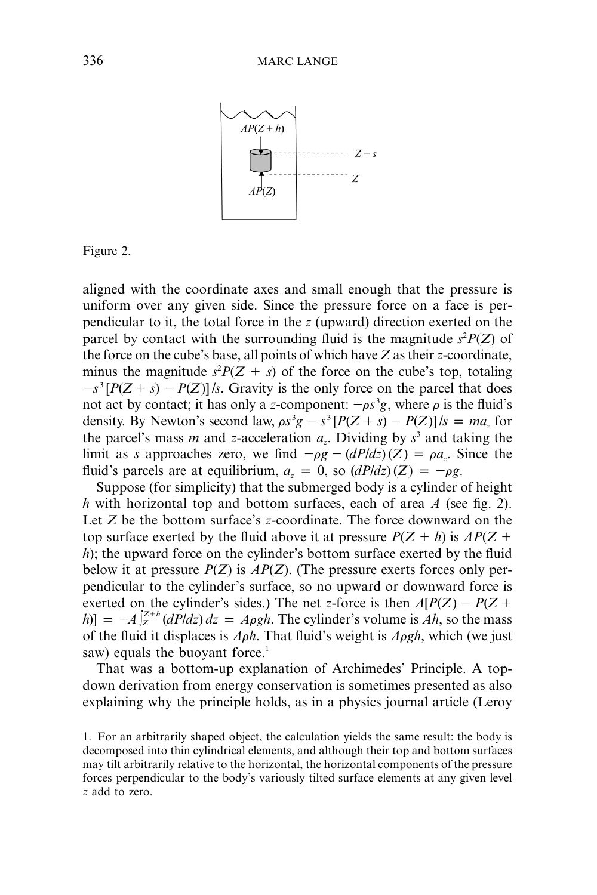

#### Figure 2.

aligned with the coordinate axes and small enough that the pressure is uniform over any given side. Since the pressure force on a face is perpendicular to it, the total force in the *z* (upward) direction exerted on the parcel by contact with the surrounding fluid is the magnitude  $s^2P(Z)$  of the force on the cube's base, all points of which have *Z* as their *z*-coordinate, minus the magnitude  $s^2 P(Z + s)$  of the force on the cube's top, totaling  $-s^3[P(Z + s) - P(Z)]/s$ . Gravity is the only force on the parcel that does not act by contact; it has only a *z*-component:  $-\rho s^3 g$ , where  $\rho$  is the fluid's density. By Newton's second law,  $\rho s^3 g - s^3 [P(Z + s) - P(Z)]/s = ma_z$  for the parcel's mass *m* and *z*-acceleration  $a_z$ . Dividing by  $s^3$  and taking the limit as *s* approaches zero, we find  $-\rho g - (dP/dz)(Z) = \rho a_z$ . Since the fluid's parcels are at equilibrium,  $a_z = 0$ , so  $(dP/dz)(Z) = -\rho g$ .

Suppose (for simplicity) that the submerged body is a cylinder of height *h* with horizontal top and bottom surfaces, each of area *A* (see fig. 2). Let *Z* be the bottom surface's *z*-coordinate. The force downward on the top surface exerted by the fluid above it at pressure  $P(Z + h)$  is  $AP(Z + h)$ *h*); the upward force on the cylinder's bottom surface exerted by the fluid below it at pressure  $P(Z)$  is  $AP(Z)$ . (The pressure exerts forces only perpendicular to the cylinder's surface, so no upward or downward force is exerted on the cylinder's sides.) The net *z*-force is then  $A[P(Z) - P(Z +$  $\mathcal{L}[h] = -A \int_{Z}^{Z+h} (dP/dz) dz = A \rho g h$ . The cylinder's volume is *Ah*, so the mass of the fluid it displaces is *A*r*h*. That fluid's weight is *A*r*gh*, which (we just saw) equals the buoyant force.<sup>1</sup>

That was a bottom-up explanation of Archimedes' Principle. A topdown derivation from energy conservation is sometimes presented as also explaining why the principle holds, as in a physics journal article (Leroy

<sup>1.</sup> For an arbitrarily shaped object, the calculation yields the same result: the body is decomposed into thin cylindrical elements, and although their top and bottom surfaces may tilt arbitrarily relative to the horizontal, the horizontal components of the pressure forces perpendicular to the body's variously tilted surface elements at any given level *z* add to zero.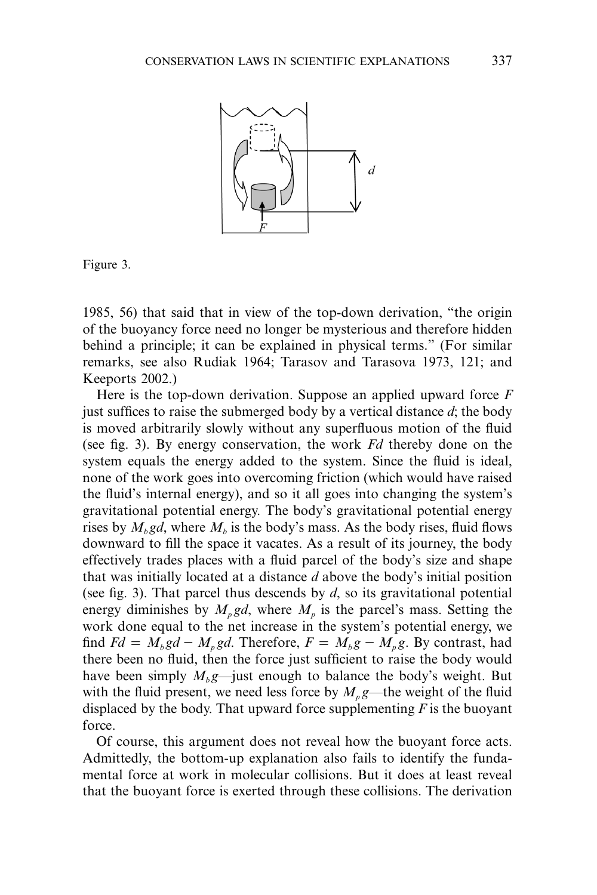

Figure 3.

1985, 56) that said that in view of the top-down derivation, "the origin of the buoyancy force need no longer be mysterious and therefore hidden behind a principle; it can be explained in physical terms." (For similar remarks, see also Rudiak 1964; Tarasov and Tarasova 1973, 121; and Keeports 2002.)

Here is the top-down derivation. Suppose an applied upward force *F* just suffices to raise the submerged body by a vertical distance *d*; the body is moved arbitrarily slowly without any superfluous motion of the fluid (see fig. 3). By energy conservation, the work *Fd* thereby done on the system equals the energy added to the system. Since the fluid is ideal, none of the work goes into overcoming friction (which would have raised the fluid's internal energy), and so it all goes into changing the system's gravitational potential energy. The body's gravitational potential energy rises by  $M_h$ gd, where  $M_h$  is the body's mass. As the body rises, fluid flows downward to fill the space it vacates. As a result of its journey, the body effectively trades places with a fluid parcel of the body's size and shape that was initially located at a distance *d* above the body's initial position (see fig. 3). That parcel thus descends by *d*, so its gravitational potential energy diminishes by  $M_p g d$ , where  $M_p$  is the parcel's mass. Setting the work done equal to the net increase in the system's potential energy, we find  $Fd = M_bgd - M_pgd$ . Therefore,  $F = M_bg - M_pg$ . By contrast, had there been no fluid, then the force just sufficient to raise the body would have been simply  $M_b$ g—just enough to balance the body's weight. But with the fluid present, we need less force by  $M_{n}g$ —the weight of the fluid displaced by the body. That upward force supplementing *F* is the buoyant force.

Of course, this argument does not reveal how the buoyant force acts. Admittedly, the bottom-up explanation also fails to identify the fundamental force at work in molecular collisions. But it does at least reveal that the buoyant force is exerted through these collisions. The derivation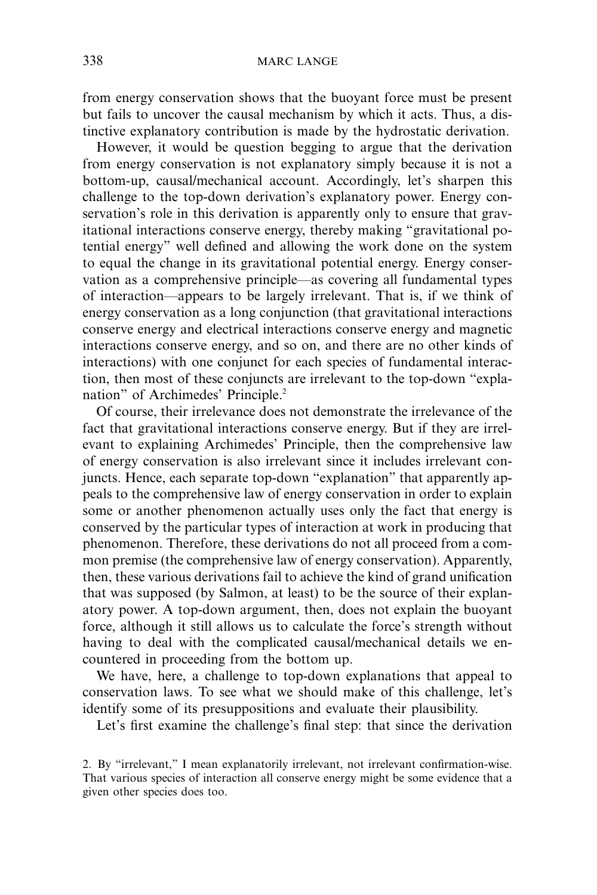from energy conservation shows that the buoyant force must be present but fails to uncover the causal mechanism by which it acts. Thus, a distinctive explanatory contribution is made by the hydrostatic derivation.

However, it would be question begging to argue that the derivation from energy conservation is not explanatory simply because it is not a bottom-up, causal/mechanical account. Accordingly, let's sharpen this challenge to the top-down derivation's explanatory power. Energy conservation's role in this derivation is apparently only to ensure that gravitational interactions conserve energy, thereby making "gravitational potential energy" well defined and allowing the work done on the system to equal the change in its gravitational potential energy. Energy conservation as a comprehensive principle—as covering all fundamental types of interaction—appears to be largely irrelevant. That is, if we think of energy conservation as a long conjunction (that gravitational interactions conserve energy and electrical interactions conserve energy and magnetic interactions conserve energy, and so on, and there are no other kinds of interactions) with one conjunct for each species of fundamental interaction, then most of these conjuncts are irrelevant to the top-down "explanation" of Archimedes' Principle.2

Of course, their irrelevance does not demonstrate the irrelevance of the fact that gravitational interactions conserve energy. But if they are irrelevant to explaining Archimedes' Principle, then the comprehensive law of energy conservation is also irrelevant since it includes irrelevant conjuncts. Hence, each separate top-down "explanation" that apparently appeals to the comprehensive law of energy conservation in order to explain some or another phenomenon actually uses only the fact that energy is conserved by the particular types of interaction at work in producing that phenomenon. Therefore, these derivations do not all proceed from a common premise (the comprehensive law of energy conservation). Apparently, then, these various derivations fail to achieve the kind of grand unification that was supposed (by Salmon, at least) to be the source of their explanatory power. A top-down argument, then, does not explain the buoyant force, although it still allows us to calculate the force's strength without having to deal with the complicated causal/mechanical details we encountered in proceeding from the bottom up.

We have, here, a challenge to top-down explanations that appeal to conservation laws. To see what we should make of this challenge, let's identify some of its presuppositions and evaluate their plausibility.

Let's first examine the challenge's final step: that since the derivation

<sup>2.</sup> By "irrelevant," I mean explanatorily irrelevant, not irrelevant confirmation-wise. That various species of interaction all conserve energy might be some evidence that a given other species does too.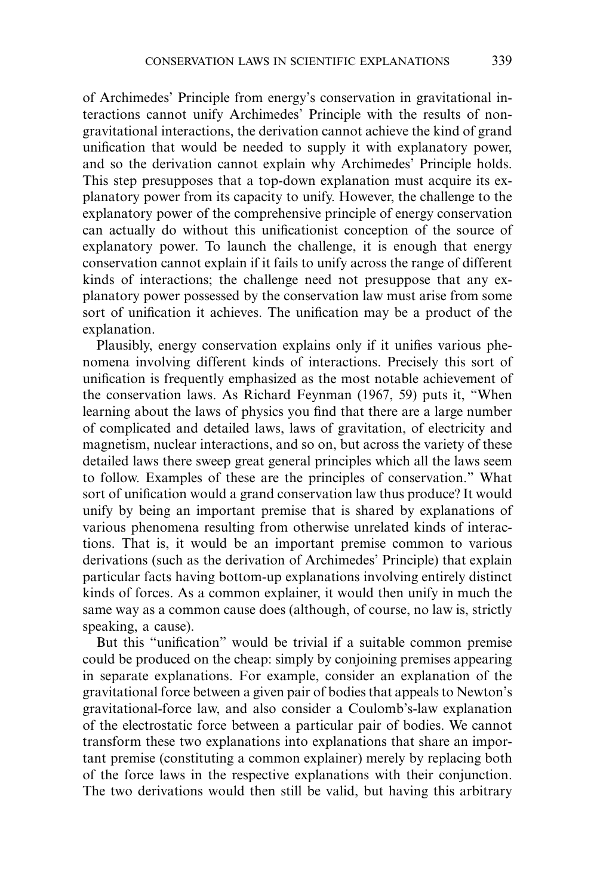of Archimedes' Principle from energy's conservation in gravitational interactions cannot unify Archimedes' Principle with the results of nongravitational interactions, the derivation cannot achieve the kind of grand unification that would be needed to supply it with explanatory power, and so the derivation cannot explain why Archimedes' Principle holds. This step presupposes that a top-down explanation must acquire its explanatory power from its capacity to unify. However, the challenge to the explanatory power of the comprehensive principle of energy conservation can actually do without this unificationist conception of the source of explanatory power. To launch the challenge, it is enough that energy conservation cannot explain if it fails to unify across the range of different kinds of interactions; the challenge need not presuppose that any explanatory power possessed by the conservation law must arise from some sort of unification it achieves. The unification may be a product of the explanation.

Plausibly, energy conservation explains only if it unifies various phenomena involving different kinds of interactions. Precisely this sort of unification is frequently emphasized as the most notable achievement of the conservation laws. As Richard Feynman (1967, 59) puts it, "When learning about the laws of physics you find that there are a large number of complicated and detailed laws, laws of gravitation, of electricity and magnetism, nuclear interactions, and so on, but across the variety of these detailed laws there sweep great general principles which all the laws seem to follow. Examples of these are the principles of conservation." What sort of unification would a grand conservation law thus produce? It would unify by being an important premise that is shared by explanations of various phenomena resulting from otherwise unrelated kinds of interactions. That is, it would be an important premise common to various derivations (such as the derivation of Archimedes' Principle) that explain particular facts having bottom-up explanations involving entirely distinct kinds of forces. As a common explainer, it would then unify in much the same way as a common cause does (although, of course, no law is, strictly speaking, a cause).

But this "unification" would be trivial if a suitable common premise could be produced on the cheap: simply by conjoining premises appearing in separate explanations. For example, consider an explanation of the gravitational force between a given pair of bodies that appeals to Newton's gravitational-force law, and also consider a Coulomb's-law explanation of the electrostatic force between a particular pair of bodies. We cannot transform these two explanations into explanations that share an important premise (constituting a common explainer) merely by replacing both of the force laws in the respective explanations with their conjunction. The two derivations would then still be valid, but having this arbitrary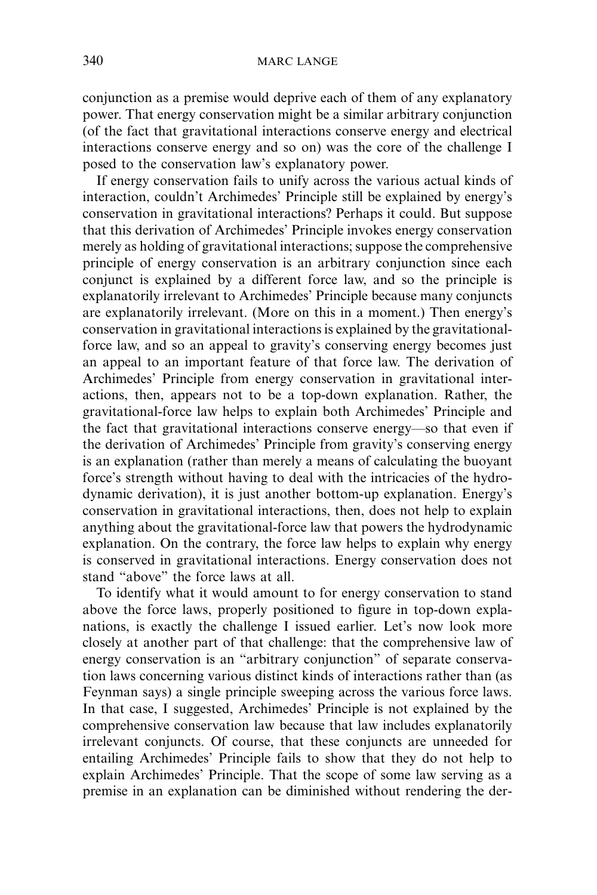conjunction as a premise would deprive each of them of any explanatory power. That energy conservation might be a similar arbitrary conjunction (of the fact that gravitational interactions conserve energy and electrical interactions conserve energy and so on) was the core of the challenge I posed to the conservation law's explanatory power.

If energy conservation fails to unify across the various actual kinds of interaction, couldn't Archimedes' Principle still be explained by energy's conservation in gravitational interactions? Perhaps it could. But suppose that this derivation of Archimedes' Principle invokes energy conservation merely as holding of gravitational interactions; suppose the comprehensive principle of energy conservation is an arbitrary conjunction since each conjunct is explained by a different force law, and so the principle is explanatorily irrelevant to Archimedes' Principle because many conjuncts are explanatorily irrelevant. (More on this in a moment.) Then energy's conservation in gravitational interactions is explained by the gravitationalforce law, and so an appeal to gravity's conserving energy becomes just an appeal to an important feature of that force law. The derivation of Archimedes' Principle from energy conservation in gravitational interactions, then, appears not to be a top-down explanation. Rather, the gravitational-force law helps to explain both Archimedes' Principle and the fact that gravitational interactions conserve energy—so that even if the derivation of Archimedes' Principle from gravity's conserving energy is an explanation (rather than merely a means of calculating the buoyant force's strength without having to deal with the intricacies of the hydrodynamic derivation), it is just another bottom-up explanation. Energy's conservation in gravitational interactions, then, does not help to explain anything about the gravitational-force law that powers the hydrodynamic explanation. On the contrary, the force law helps to explain why energy is conserved in gravitational interactions. Energy conservation does not stand "above" the force laws at all.

To identify what it would amount to for energy conservation to stand above the force laws, properly positioned to figure in top-down explanations, is exactly the challenge I issued earlier. Let's now look more closely at another part of that challenge: that the comprehensive law of energy conservation is an "arbitrary conjunction" of separate conservation laws concerning various distinct kinds of interactions rather than (as Feynman says) a single principle sweeping across the various force laws. In that case, I suggested, Archimedes' Principle is not explained by the comprehensive conservation law because that law includes explanatorily irrelevant conjuncts. Of course, that these conjuncts are unneeded for entailing Archimedes' Principle fails to show that they do not help to explain Archimedes' Principle. That the scope of some law serving as a premise in an explanation can be diminished without rendering the der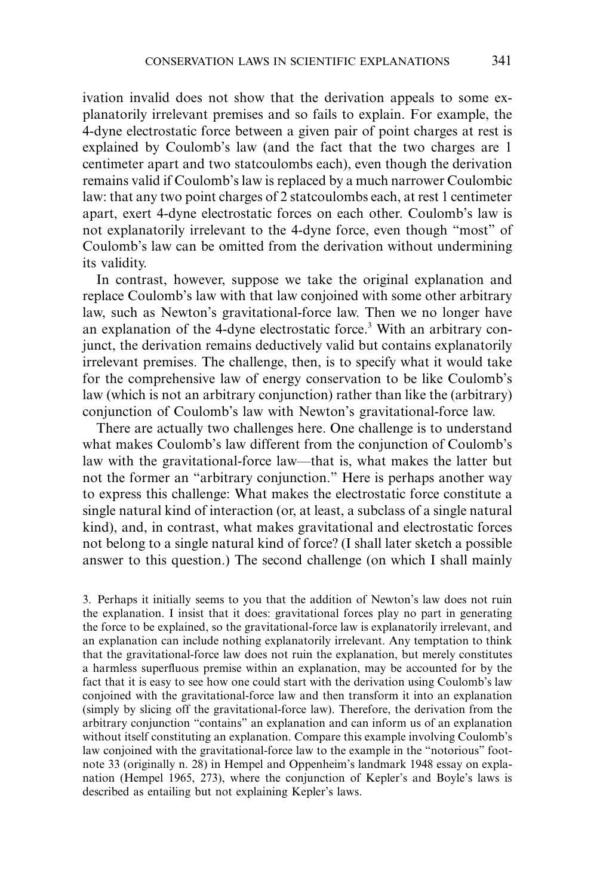ivation invalid does not show that the derivation appeals to some explanatorily irrelevant premises and so fails to explain. For example, the 4-dyne electrostatic force between a given pair of point charges at rest is explained by Coulomb's law (and the fact that the two charges are 1 centimeter apart and two statcoulombs each), even though the derivation remains valid if Coulomb's law is replaced by a much narrower Coulombic law: that any two point charges of 2 statcoulombs each, at rest 1 centimeter apart, exert 4-dyne electrostatic forces on each other. Coulomb's law is not explanatorily irrelevant to the 4-dyne force, even though "most" of Coulomb's law can be omitted from the derivation without undermining its validity.

In contrast, however, suppose we take the original explanation and replace Coulomb's law with that law conjoined with some other arbitrary law, such as Newton's gravitational-force law. Then we no longer have an explanation of the 4-dyne electrostatic force.3 With an arbitrary conjunct, the derivation remains deductively valid but contains explanatorily irrelevant premises. The challenge, then, is to specify what it would take for the comprehensive law of energy conservation to be like Coulomb's law (which is not an arbitrary conjunction) rather than like the (arbitrary) conjunction of Coulomb's law with Newton's gravitational-force law.

There are actually two challenges here. One challenge is to understand what makes Coulomb's law different from the conjunction of Coulomb's law with the gravitational-force law—that is, what makes the latter but not the former an "arbitrary conjunction." Here is perhaps another way to express this challenge: What makes the electrostatic force constitute a single natural kind of interaction (or, at least, a subclass of a single natural kind), and, in contrast, what makes gravitational and electrostatic forces not belong to a single natural kind of force? (I shall later sketch a possible answer to this question.) The second challenge (on which I shall mainly

3. Perhaps it initially seems to you that the addition of Newton's law does not ruin the explanation. I insist that it does: gravitational forces play no part in generating the force to be explained, so the gravitational-force law is explanatorily irrelevant, and an explanation can include nothing explanatorily irrelevant. Any temptation to think that the gravitational-force law does not ruin the explanation, but merely constitutes a harmless superfluous premise within an explanation, may be accounted for by the fact that it is easy to see how one could start with the derivation using Coulomb's law conjoined with the gravitational-force law and then transform it into an explanation (simply by slicing off the gravitational-force law). Therefore, the derivation from the arbitrary conjunction "contains" an explanation and can inform us of an explanation without itself constituting an explanation. Compare this example involving Coulomb's law conjoined with the gravitational-force law to the example in the "notorious" footnote 33 (originally n. 28) in Hempel and Oppenheim's landmark 1948 essay on explanation (Hempel 1965, 273), where the conjunction of Kepler's and Boyle's laws is described as entailing but not explaining Kepler's laws.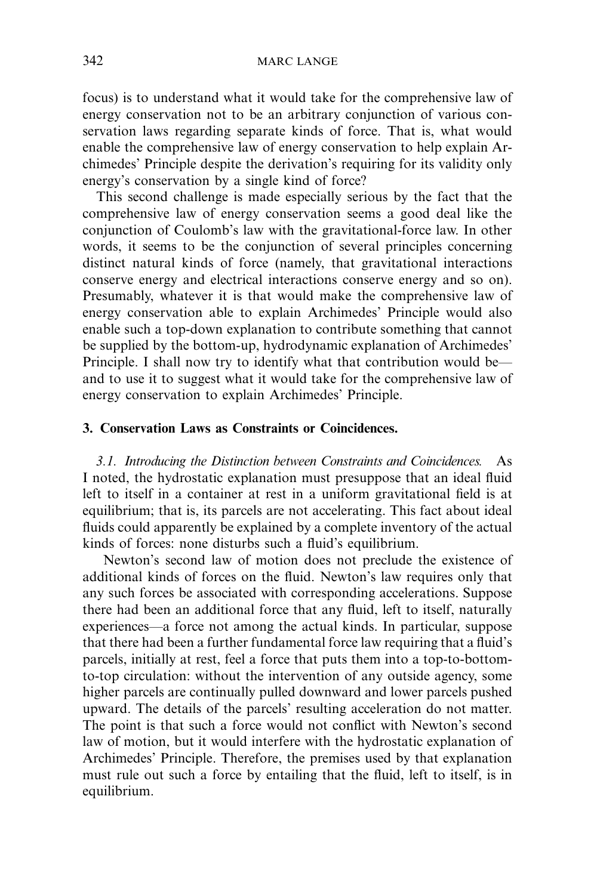focus) is to understand what it would take for the comprehensive law of energy conservation not to be an arbitrary conjunction of various conservation laws regarding separate kinds of force. That is, what would enable the comprehensive law of energy conservation to help explain Archimedes' Principle despite the derivation's requiring for its validity only energy's conservation by a single kind of force?

This second challenge is made especially serious by the fact that the comprehensive law of energy conservation seems a good deal like the conjunction of Coulomb's law with the gravitational-force law. In other words, it seems to be the conjunction of several principles concerning distinct natural kinds of force (namely, that gravitational interactions conserve energy and electrical interactions conserve energy and so on). Presumably, whatever it is that would make the comprehensive law of energy conservation able to explain Archimedes' Principle would also enable such a top-down explanation to contribute something that cannot be supplied by the bottom-up, hydrodynamic explanation of Archimedes' Principle. I shall now try to identify what that contribution would be and to use it to suggest what it would take for the comprehensive law of energy conservation to explain Archimedes' Principle.

### **3. Conservation Laws as Constraints or Coincidences.**

*3.1. Introducing the Distinction between Constraints and Coincidences.* As I noted, the hydrostatic explanation must presuppose that an ideal fluid left to itself in a container at rest in a uniform gravitational field is at equilibrium; that is, its parcels are not accelerating. This fact about ideal fluids could apparently be explained by a complete inventory of the actual kinds of forces: none disturbs such a fluid's equilibrium.

Newton's second law of motion does not preclude the existence of additional kinds of forces on the fluid. Newton's law requires only that any such forces be associated with corresponding accelerations. Suppose there had been an additional force that any fluid, left to itself, naturally experiences—a force not among the actual kinds. In particular, suppose that there had been a further fundamental force law requiring that a fluid's parcels, initially at rest, feel a force that puts them into a top-to-bottomto-top circulation: without the intervention of any outside agency, some higher parcels are continually pulled downward and lower parcels pushed upward. The details of the parcels' resulting acceleration do not matter. The point is that such a force would not conflict with Newton's second law of motion, but it would interfere with the hydrostatic explanation of Archimedes' Principle. Therefore, the premises used by that explanation must rule out such a force by entailing that the fluid, left to itself, is in equilibrium.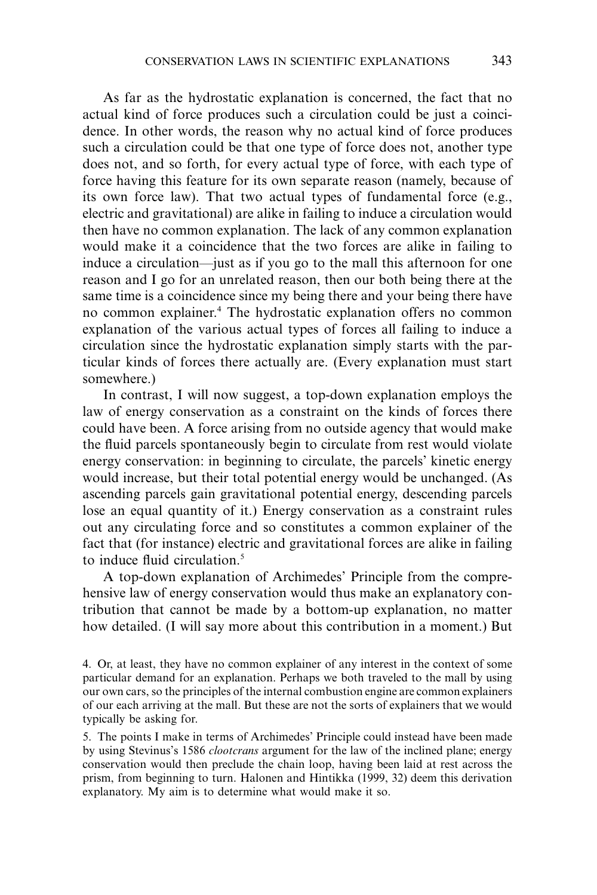As far as the hydrostatic explanation is concerned, the fact that no actual kind of force produces such a circulation could be just a coincidence. In other words, the reason why no actual kind of force produces such a circulation could be that one type of force does not, another type does not, and so forth, for every actual type of force, with each type of force having this feature for its own separate reason (namely, because of its own force law). That two actual types of fundamental force (e.g., electric and gravitational) are alike in failing to induce a circulation would then have no common explanation. The lack of any common explanation would make it a coincidence that the two forces are alike in failing to induce a circulation—just as if you go to the mall this afternoon for one reason and I go for an unrelated reason, then our both being there at the same time is a coincidence since my being there and your being there have no common explainer.4 The hydrostatic explanation offers no common explanation of the various actual types of forces all failing to induce a circulation since the hydrostatic explanation simply starts with the particular kinds of forces there actually are. (Every explanation must start somewhere.)

In contrast, I will now suggest, a top-down explanation employs the law of energy conservation as a constraint on the kinds of forces there could have been. A force arising from no outside agency that would make the fluid parcels spontaneously begin to circulate from rest would violate energy conservation: in beginning to circulate, the parcels' kinetic energy would increase, but their total potential energy would be unchanged. (As ascending parcels gain gravitational potential energy, descending parcels lose an equal quantity of it.) Energy conservation as a constraint rules out any circulating force and so constitutes a common explainer of the fact that (for instance) electric and gravitational forces are alike in failing to induce fluid circulation.<sup>5</sup>

A top-down explanation of Archimedes' Principle from the comprehensive law of energy conservation would thus make an explanatory contribution that cannot be made by a bottom-up explanation, no matter how detailed. (I will say more about this contribution in a moment.) But

<sup>4.</sup> Or, at least, they have no common explainer of any interest in the context of some particular demand for an explanation. Perhaps we both traveled to the mall by using our own cars, so the principles of the internal combustion engine are common explainers of our each arriving at the mall. But these are not the sorts of explainers that we would typically be asking for.

<sup>5.</sup> The points I make in terms of Archimedes' Principle could instead have been made by using Stevinus's 1586 *clootcrans* argument for the law of the inclined plane; energy conservation would then preclude the chain loop, having been laid at rest across the prism, from beginning to turn. Halonen and Hintikka (1999, 32) deem this derivation explanatory. My aim is to determine what would make it so.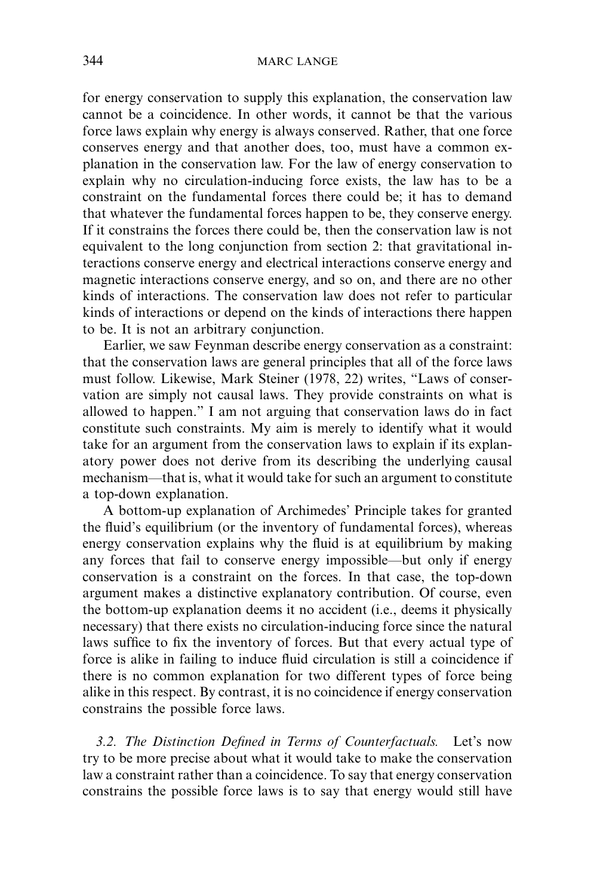for energy conservation to supply this explanation, the conservation law cannot be a coincidence. In other words, it cannot be that the various force laws explain why energy is always conserved. Rather, that one force conserves energy and that another does, too, must have a common explanation in the conservation law. For the law of energy conservation to explain why no circulation-inducing force exists, the law has to be a constraint on the fundamental forces there could be; it has to demand that whatever the fundamental forces happen to be, they conserve energy. If it constrains the forces there could be, then the conservation law is not equivalent to the long conjunction from section 2: that gravitational interactions conserve energy and electrical interactions conserve energy and magnetic interactions conserve energy, and so on, and there are no other kinds of interactions. The conservation law does not refer to particular kinds of interactions or depend on the kinds of interactions there happen to be. It is not an arbitrary conjunction.

Earlier, we saw Feynman describe energy conservation as a constraint: that the conservation laws are general principles that all of the force laws must follow. Likewise, Mark Steiner (1978, 22) writes, "Laws of conservation are simply not causal laws. They provide constraints on what is allowed to happen." I am not arguing that conservation laws do in fact constitute such constraints. My aim is merely to identify what it would take for an argument from the conservation laws to explain if its explanatory power does not derive from its describing the underlying causal mechanism—that is, what it would take for such an argument to constitute a top-down explanation.

A bottom-up explanation of Archimedes' Principle takes for granted the fluid's equilibrium (or the inventory of fundamental forces), whereas energy conservation explains why the fluid is at equilibrium by making any forces that fail to conserve energy impossible—but only if energy conservation is a constraint on the forces. In that case, the top-down argument makes a distinctive explanatory contribution. Of course, even the bottom-up explanation deems it no accident (i.e., deems it physically necessary) that there exists no circulation-inducing force since the natural laws suffice to fix the inventory of forces. But that every actual type of force is alike in failing to induce fluid circulation is still a coincidence if there is no common explanation for two different types of force being alike in this respect. By contrast, it is no coincidence if energy conservation constrains the possible force laws.

*3.2. The Distinction Defined in Terms of Counterfactuals.* Let's now try to be more precise about what it would take to make the conservation law a constraint rather than a coincidence. To say that energy conservation constrains the possible force laws is to say that energy would still have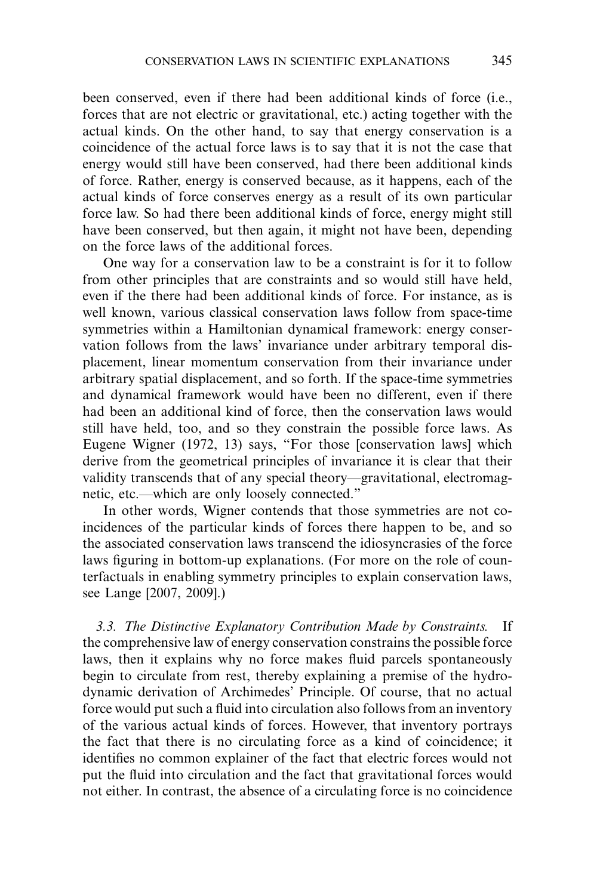been conserved, even if there had been additional kinds of force (i.e., forces that are not electric or gravitational, etc.) acting together with the actual kinds. On the other hand, to say that energy conservation is a coincidence of the actual force laws is to say that it is not the case that energy would still have been conserved, had there been additional kinds of force. Rather, energy is conserved because, as it happens, each of the actual kinds of force conserves energy as a result of its own particular force law. So had there been additional kinds of force, energy might still have been conserved, but then again, it might not have been, depending on the force laws of the additional forces.

One way for a conservation law to be a constraint is for it to follow from other principles that are constraints and so would still have held, even if the there had been additional kinds of force. For instance, as is well known, various classical conservation laws follow from space-time symmetries within a Hamiltonian dynamical framework: energy conservation follows from the laws' invariance under arbitrary temporal displacement, linear momentum conservation from their invariance under arbitrary spatial displacement, and so forth. If the space-time symmetries and dynamical framework would have been no different, even if there had been an additional kind of force, then the conservation laws would still have held, too, and so they constrain the possible force laws. As Eugene Wigner (1972, 13) says, "For those [conservation laws] which derive from the geometrical principles of invariance it is clear that their validity transcends that of any special theory—gravitational, electromagnetic, etc.—which are only loosely connected."

In other words, Wigner contends that those symmetries are not coincidences of the particular kinds of forces there happen to be, and so the associated conservation laws transcend the idiosyncrasies of the force laws figuring in bottom-up explanations. (For more on the role of counterfactuals in enabling symmetry principles to explain conservation laws, see Lange [2007, 2009].)

*3.3. The Distinctive Explanatory Contribution Made by Constraints.* If the comprehensive law of energy conservation constrains the possible force laws, then it explains why no force makes fluid parcels spontaneously begin to circulate from rest, thereby explaining a premise of the hydrodynamic derivation of Archimedes' Principle. Of course, that no actual force would put such a fluid into circulation also follows from an inventory of the various actual kinds of forces. However, that inventory portrays the fact that there is no circulating force as a kind of coincidence; it identifies no common explainer of the fact that electric forces would not put the fluid into circulation and the fact that gravitational forces would not either. In contrast, the absence of a circulating force is no coincidence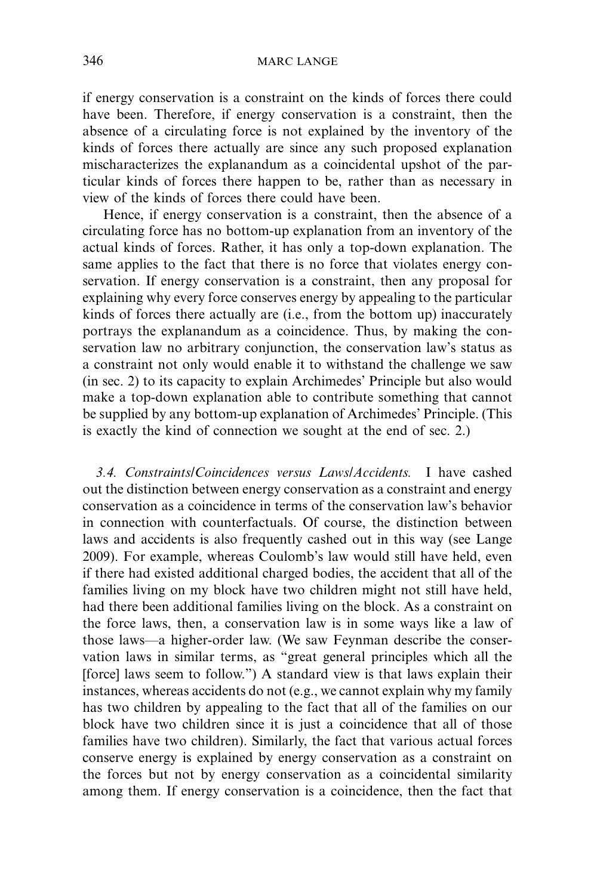if energy conservation is a constraint on the kinds of forces there could have been. Therefore, if energy conservation is a constraint, then the absence of a circulating force is not explained by the inventory of the kinds of forces there actually are since any such proposed explanation mischaracterizes the explanandum as a coincidental upshot of the particular kinds of forces there happen to be, rather than as necessary in view of the kinds of forces there could have been.

Hence, if energy conservation is a constraint, then the absence of a circulating force has no bottom-up explanation from an inventory of the actual kinds of forces. Rather, it has only a top-down explanation. The same applies to the fact that there is no force that violates energy conservation. If energy conservation is a constraint, then any proposal for explaining why every force conserves energy by appealing to the particular kinds of forces there actually are (i.e., from the bottom up) inaccurately portrays the explanandum as a coincidence. Thus, by making the conservation law no arbitrary conjunction, the conservation law's status as a constraint not only would enable it to withstand the challenge we saw (in sec. 2) to its capacity to explain Archimedes' Principle but also would make a top-down explanation able to contribute something that cannot be supplied by any bottom-up explanation of Archimedes' Principle. (This is exactly the kind of connection we sought at the end of sec. 2.)

*3.4. Constraints/Coincidences versus Laws/Accidents.* I have cashed out the distinction between energy conservation as a constraint and energy conservation as a coincidence in terms of the conservation law's behavior in connection with counterfactuals. Of course, the distinction between laws and accidents is also frequently cashed out in this way (see Lange 2009). For example, whereas Coulomb's law would still have held, even if there had existed additional charged bodies, the accident that all of the families living on my block have two children might not still have held, had there been additional families living on the block. As a constraint on the force laws, then, a conservation law is in some ways like a law of those laws—a higher-order law. (We saw Feynman describe the conservation laws in similar terms, as "great general principles which all the [force] laws seem to follow.") A standard view is that laws explain their instances, whereas accidents do not (e.g., we cannot explain why my family has two children by appealing to the fact that all of the families on our block have two children since it is just a coincidence that all of those families have two children). Similarly, the fact that various actual forces conserve energy is explained by energy conservation as a constraint on the forces but not by energy conservation as a coincidental similarity among them. If energy conservation is a coincidence, then the fact that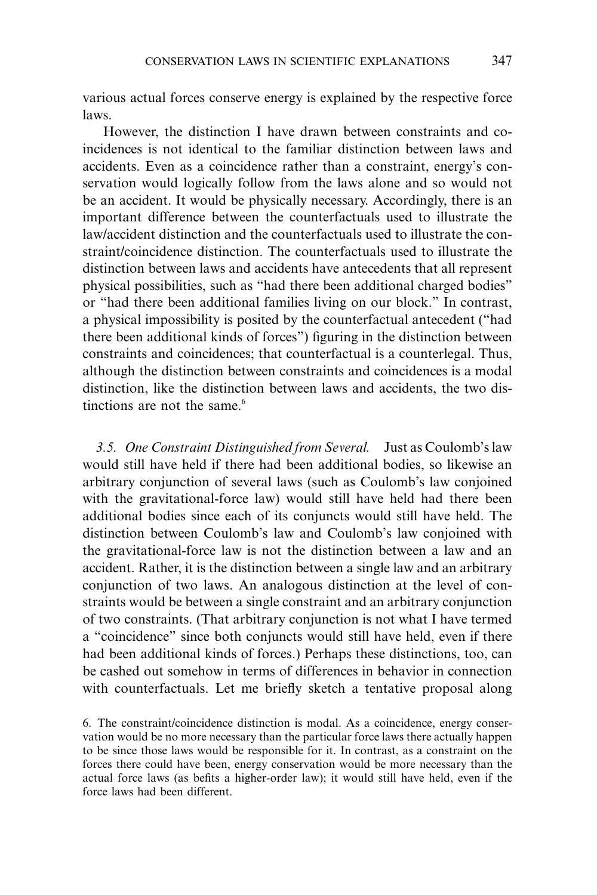various actual forces conserve energy is explained by the respective force laws.

However, the distinction I have drawn between constraints and coincidences is not identical to the familiar distinction between laws and accidents. Even as a coincidence rather than a constraint, energy's conservation would logically follow from the laws alone and so would not be an accident. It would be physically necessary. Accordingly, there is an important difference between the counterfactuals used to illustrate the law/accident distinction and the counterfactuals used to illustrate the constraint/coincidence distinction. The counterfactuals used to illustrate the distinction between laws and accidents have antecedents that all represent physical possibilities, such as "had there been additional charged bodies" or "had there been additional families living on our block." In contrast, a physical impossibility is posited by the counterfactual antecedent ("had there been additional kinds of forces") figuring in the distinction between constraints and coincidences; that counterfactual is a counterlegal. Thus, although the distinction between constraints and coincidences is a modal distinction, like the distinction between laws and accidents, the two distinctions are not the same. $6$ 

*3.5. One Constraint Distinguished from Several.* Just as Coulomb's law would still have held if there had been additional bodies, so likewise an arbitrary conjunction of several laws (such as Coulomb's law conjoined with the gravitational-force law) would still have held had there been additional bodies since each of its conjuncts would still have held. The distinction between Coulomb's law and Coulomb's law conjoined with the gravitational-force law is not the distinction between a law and an accident. Rather, it is the distinction between a single law and an arbitrary conjunction of two laws. An analogous distinction at the level of constraints would be between a single constraint and an arbitrary conjunction of two constraints. (That arbitrary conjunction is not what I have termed a "coincidence" since both conjuncts would still have held, even if there had been additional kinds of forces.) Perhaps these distinctions, too, can be cashed out somehow in terms of differences in behavior in connection with counterfactuals. Let me briefly sketch a tentative proposal along

<sup>6.</sup> The constraint/coincidence distinction is modal. As a coincidence, energy conservation would be no more necessary than the particular force laws there actually happen to be since those laws would be responsible for it. In contrast, as a constraint on the forces there could have been, energy conservation would be more necessary than the actual force laws (as befits a higher-order law); it would still have held, even if the force laws had been different.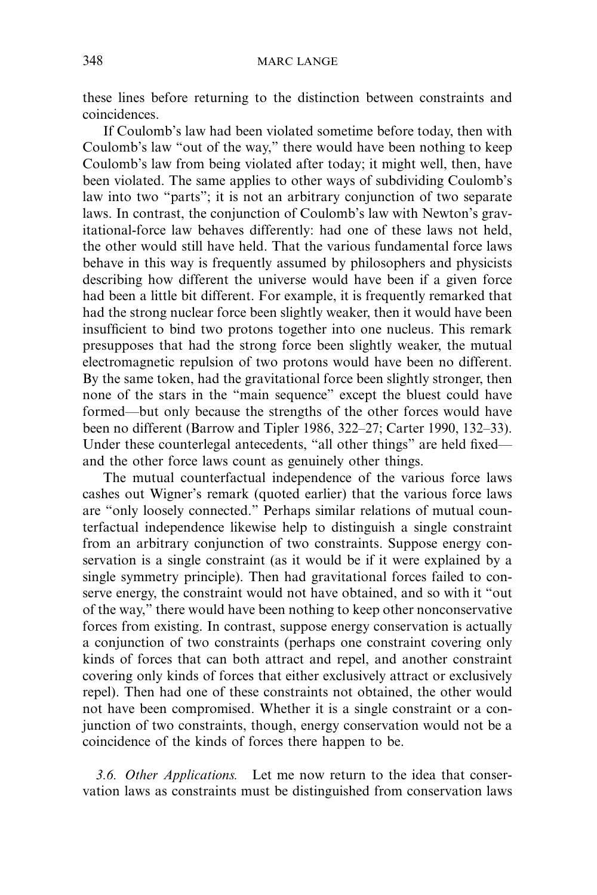these lines before returning to the distinction between constraints and coincidences.

If Coulomb's law had been violated sometime before today, then with Coulomb's law "out of the way," there would have been nothing to keep Coulomb's law from being violated after today; it might well, then, have been violated. The same applies to other ways of subdividing Coulomb's law into two "parts"; it is not an arbitrary conjunction of two separate laws. In contrast, the conjunction of Coulomb's law with Newton's gravitational-force law behaves differently: had one of these laws not held, the other would still have held. That the various fundamental force laws behave in this way is frequently assumed by philosophers and physicists describing how different the universe would have been if a given force had been a little bit different. For example, it is frequently remarked that had the strong nuclear force been slightly weaker, then it would have been insufficient to bind two protons together into one nucleus. This remark presupposes that had the strong force been slightly weaker, the mutual electromagnetic repulsion of two protons would have been no different. By the same token, had the gravitational force been slightly stronger, then none of the stars in the "main sequence" except the bluest could have formed—but only because the strengths of the other forces would have been no different (Barrow and Tipler 1986, 322–27; Carter 1990, 132–33). Under these counterlegal antecedents, "all other things" are held fixed and the other force laws count as genuinely other things.

The mutual counterfactual independence of the various force laws cashes out Wigner's remark (quoted earlier) that the various force laws are "only loosely connected." Perhaps similar relations of mutual counterfactual independence likewise help to distinguish a single constraint from an arbitrary conjunction of two constraints. Suppose energy conservation is a single constraint (as it would be if it were explained by a single symmetry principle). Then had gravitational forces failed to conserve energy, the constraint would not have obtained, and so with it "out of the way," there would have been nothing to keep other nonconservative forces from existing. In contrast, suppose energy conservation is actually a conjunction of two constraints (perhaps one constraint covering only kinds of forces that can both attract and repel, and another constraint covering only kinds of forces that either exclusively attract or exclusively repel). Then had one of these constraints not obtained, the other would not have been compromised. Whether it is a single constraint or a conjunction of two constraints, though, energy conservation would not be a coincidence of the kinds of forces there happen to be.

*3.6. Other Applications.* Let me now return to the idea that conservation laws as constraints must be distinguished from conservation laws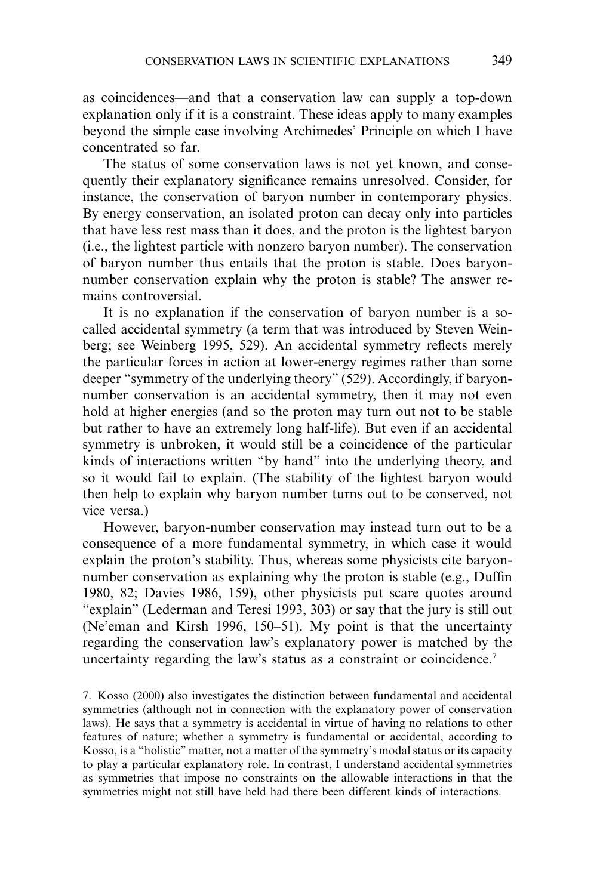as coincidences—and that a conservation law can supply a top-down explanation only if it is a constraint. These ideas apply to many examples beyond the simple case involving Archimedes' Principle on which I have concentrated so far.

The status of some conservation laws is not yet known, and consequently their explanatory significance remains unresolved. Consider, for instance, the conservation of baryon number in contemporary physics. By energy conservation, an isolated proton can decay only into particles that have less rest mass than it does, and the proton is the lightest baryon (i.e., the lightest particle with nonzero baryon number). The conservation of baryon number thus entails that the proton is stable. Does baryonnumber conservation explain why the proton is stable? The answer remains controversial.

It is no explanation if the conservation of baryon number is a socalled accidental symmetry (a term that was introduced by Steven Weinberg; see Weinberg 1995, 529). An accidental symmetry reflects merely the particular forces in action at lower-energy regimes rather than some deeper "symmetry of the underlying theory" (529). Accordingly, if baryonnumber conservation is an accidental symmetry, then it may not even hold at higher energies (and so the proton may turn out not to be stable but rather to have an extremely long half-life). But even if an accidental symmetry is unbroken, it would still be a coincidence of the particular kinds of interactions written "by hand" into the underlying theory, and so it would fail to explain. (The stability of the lightest baryon would then help to explain why baryon number turns out to be conserved, not vice versa.)

However, baryon-number conservation may instead turn out to be a consequence of a more fundamental symmetry, in which case it would explain the proton's stability. Thus, whereas some physicists cite baryonnumber conservation as explaining why the proton is stable (e.g., Duffin 1980, 82; Davies 1986, 159), other physicists put scare quotes around "explain" (Lederman and Teresi 1993, 303) or say that the jury is still out (Ne'eman and Kirsh 1996, 150–51). My point is that the uncertainty regarding the conservation law's explanatory power is matched by the uncertainty regarding the law's status as a constraint or coincidence.<sup>7</sup>

7. Kosso (2000) also investigates the distinction between fundamental and accidental symmetries (although not in connection with the explanatory power of conservation laws). He says that a symmetry is accidental in virtue of having no relations to other features of nature; whether a symmetry is fundamental or accidental, according to Kosso, is a "holistic" matter, not a matter of the symmetry's modal status or its capacity to play a particular explanatory role. In contrast, I understand accidental symmetries as symmetries that impose no constraints on the allowable interactions in that the symmetries might not still have held had there been different kinds of interactions.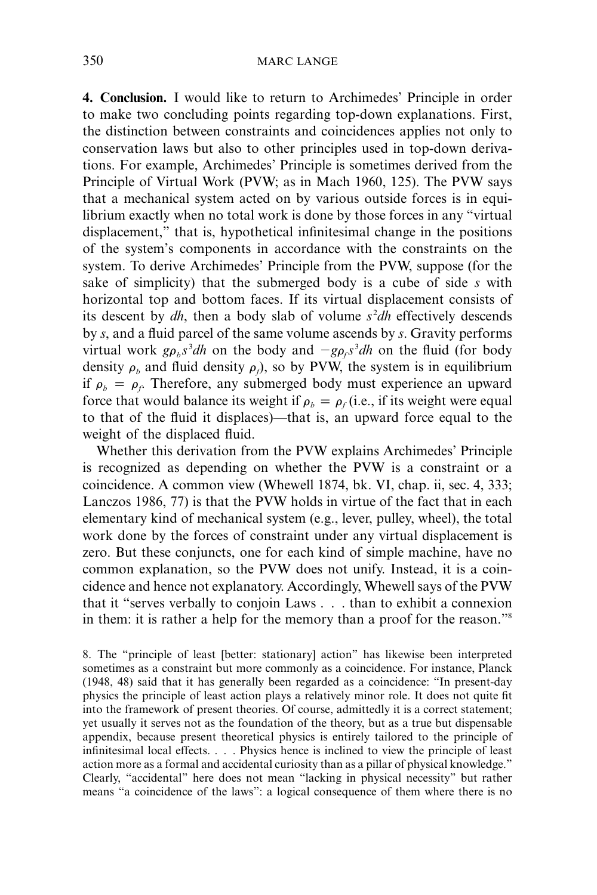**4. Conclusion.** I would like to return to Archimedes' Principle in order to make two concluding points regarding top-down explanations. First, the distinction between constraints and coincidences applies not only to conservation laws but also to other principles used in top-down derivations. For example, Archimedes' Principle is sometimes derived from the Principle of Virtual Work (PVW; as in Mach 1960, 125). The PVW says that a mechanical system acted on by various outside forces is in equilibrium exactly when no total work is done by those forces in any "virtual displacement," that is, hypothetical infinitesimal change in the positions of the system's components in accordance with the constraints on the system. To derive Archimedes' Principle from the PVW, suppose (for the sake of simplicity) that the submerged body is a cube of side *s* with horizontal top and bottom faces. If its virtual displacement consists of its descent by  $dh$ , then a body slab of volume  $s^2 dh$  effectively descends by *s*, and a fluid parcel of the same volume ascends by *s*. Gravity performs virtual work  $g\rho_b s^3 dh$  on the body and  $-g\rho_f s^3 dh$  on the fluid (for body density  $\rho_b$  and fluid density  $\rho_f$ ), so by PVW, the system is in equilibrium if  $\rho_b = \rho_f$ . Therefore, any submerged body must experience an upward force that would balance its weight if  $\rho_b = \rho_f$  (i.e., if its weight were equal to that of the fluid it displaces)—that is, an upward force equal to the weight of the displaced fluid.

Whether this derivation from the PVW explains Archimedes' Principle is recognized as depending on whether the PVW is a constraint or a coincidence. A common view (Whewell 1874, bk. VI, chap. ii, sec. 4, 333; Lanczos 1986, 77) is that the PVW holds in virtue of the fact that in each elementary kind of mechanical system (e.g., lever, pulley, wheel), the total work done by the forces of constraint under any virtual displacement is zero. But these conjuncts, one for each kind of simple machine, have no common explanation, so the PVW does not unify. Instead, it is a coincidence and hence not explanatory. Accordingly, Whewell says of the PVW that it "serves verbally to conjoin Laws . . . than to exhibit a connexion in them: it is rather a help for the memory than a proof for the reason."8

8. The "principle of least [better: stationary] action" has likewise been interpreted sometimes as a constraint but more commonly as a coincidence. For instance, Planck (1948, 48) said that it has generally been regarded as a coincidence: "In present-day physics the principle of least action plays a relatively minor role. It does not quite fit into the framework of present theories. Of course, admittedly it is a correct statement; yet usually it serves not as the foundation of the theory, but as a true but dispensable appendix, because present theoretical physics is entirely tailored to the principle of infinitesimal local effects. . . . Physics hence is inclined to view the principle of least action more as a formal and accidental curiosity than as a pillar of physical knowledge." Clearly, "accidental" here does not mean "lacking in physical necessity" but rather means "a coincidence of the laws": a logical consequence of them where there is no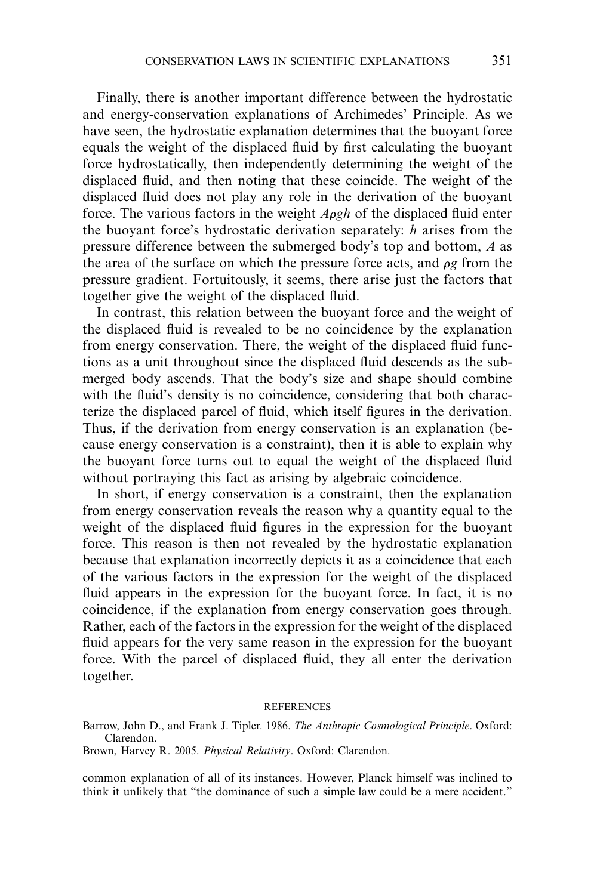Finally, there is another important difference between the hydrostatic and energy-conservation explanations of Archimedes' Principle. As we have seen, the hydrostatic explanation determines that the buoyant force equals the weight of the displaced fluid by first calculating the buoyant force hydrostatically, then independently determining the weight of the displaced fluid, and then noting that these coincide. The weight of the displaced fluid does not play any role in the derivation of the buoyant force. The various factors in the weight  $A\rho gh$  of the displaced fluid enter the buoyant force's hydrostatic derivation separately: *h* arises from the pressure difference between the submerged body's top and bottom, *A* as the area of the surface on which the pressure force acts, and  $\rho g$  from the pressure gradient. Fortuitously, it seems, there arise just the factors that together give the weight of the displaced fluid.

In contrast, this relation between the buoyant force and the weight of the displaced fluid is revealed to be no coincidence by the explanation from energy conservation. There, the weight of the displaced fluid functions as a unit throughout since the displaced fluid descends as the submerged body ascends. That the body's size and shape should combine with the fluid's density is no coincidence, considering that both characterize the displaced parcel of fluid, which itself figures in the derivation. Thus, if the derivation from energy conservation is an explanation (because energy conservation is a constraint), then it is able to explain why the buoyant force turns out to equal the weight of the displaced fluid without portraying this fact as arising by algebraic coincidence.

In short, if energy conservation is a constraint, then the explanation from energy conservation reveals the reason why a quantity equal to the weight of the displaced fluid figures in the expression for the buoyant force. This reason is then not revealed by the hydrostatic explanation because that explanation incorrectly depicts it as a coincidence that each of the various factors in the expression for the weight of the displaced fluid appears in the expression for the buoyant force. In fact, it is no coincidence, if the explanation from energy conservation goes through. Rather, each of the factors in the expression for the weight of the displaced fluid appears for the very same reason in the expression for the buoyant force. With the parcel of displaced fluid, they all enter the derivation together.

#### REFERENCES

Brown, Harvey R. 2005. *Physical Relativity*. Oxford: Clarendon.

Barrow, John D., and Frank J. Tipler. 1986. *The Anthropic Cosmological Principle*. Oxford: Clarendon.

common explanation of all of its instances. However, Planck himself was inclined to think it unlikely that "the dominance of such a simple law could be a mere accident."